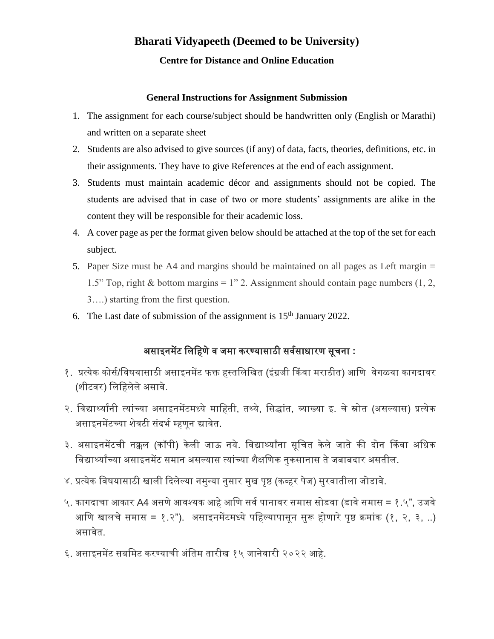# **Bharati Vidyapeeth (Deemed to be University)**

#### **Centre for Distance and Online Education**

#### **General Instructions for Assignment Submission**

- 1. The assignment for each course/subject should be handwritten only (English or Marathi) and written on a separate sheet
- 2. Students are also advised to give sources (if any) of data, facts, theories, definitions, etc. in their assignments. They have to give References at the end of each assignment.
- 3. Students must maintain academic décor and assignments should not be copied. The students are advised that in case of two or more students' assignments are alike in the content they will be responsible for their academic loss.
- 4. A cover page as per the format given below should be attached at the top of the set for each subject.
- 5. Paper Size must be A4 and margins should be maintained on all pages as Left margin = 1.5" Top, right & bottom margins = 1" 2. Assignment should contain page numbers  $(1, 2, 3)$ 3….) starting from the first question.
- 6. The Last date of submission of the assignment is  $15<sup>th</sup>$  January 2022.

# असाइनमेंट लिलिणेव जमा करण्यासाठी सववसाधारण सूचना **:**

- १. प्रत्येक कोर्स/विषयासाठी असाइनमेंट फक्त हस्तलिखित (इंग्रजी किंवा मराठीत) आणि वेगळ्या कागदावर (शीटवर) लिलििेिेअसावे.
- २. विद्यार्थ्यांनी त्यांच्या असाइनमेंटमध्ये माहिती, तथ्ये, सिद्धांत, व्याख्या इ. चे स्रोत (असल्यास) प्रत्येक असाइनमेंटच्या शेवटी संदर्भ म्हणून द्यावेत.
- ३. असाइनमेंटची नक्कल (कॉपी) केली जाऊ नये. विद्यार्थ्यांना सूचित केले जाते की दोन किंवा अधिक विद्यार्थ्यांच्या असाइनमेंट समान असल्यास त्यांच्या शैक्षणिक नुकसानास ते जबाबदार असतील.
- ४. प्रत्येक विषयासाठी खाली दिलेल्या नमुन्या नुसार मुख पृष्ठ (कव्हर पेज) सुरवातीला जोडावे.
- ५. कागदाचा आकार A4 असणे आवश्यक आहे आणि सर्व पानावर समास सोडवा (डावे समास = १.५", उजवे आणि खालचे समास = १.२"). असाइनमेंटमध्ये पहिल्यापासून सुरू होणारे पृष्ठ क्रमांक (१, २, ३, ..) असावेत.
- ६. असाइनमेंट सबमिट करण्याची अंतिम तारीख १५ जानेवारी २०२२ आहे.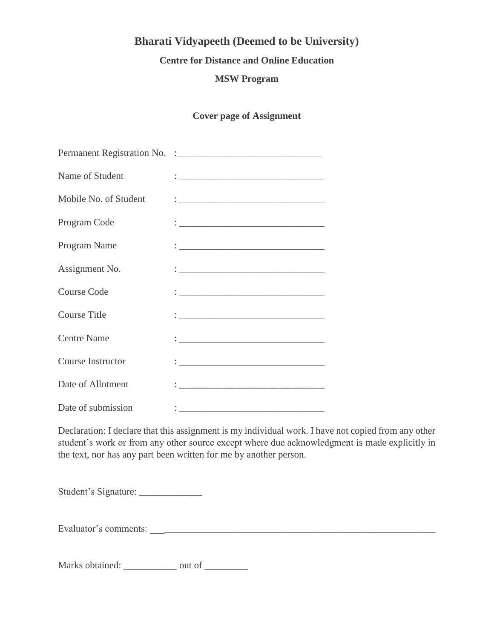## **Bharati Vidyapeeth (Deemed to be University)**

#### **Centre for Distance and Online Education**

#### **MSW Program**

#### **Cover page of Assignment**

| Name of Student          |                                                                                                                                                                                                                                   |
|--------------------------|-----------------------------------------------------------------------------------------------------------------------------------------------------------------------------------------------------------------------------------|
| Mobile No. of Student    |                                                                                                                                                                                                                                   |
| Program Code             | <u> : _________________________________</u>                                                                                                                                                                                       |
| Program Name             | <u>: __________________________________</u>                                                                                                                                                                                       |
| Assignment No.           | $\frac{1}{2}$ . The contract of the contract of the contract of the contract of the contract of the contract of the contract of the contract of the contract of the contract of the contract of the contract of the contract of t |
| <b>Course Code</b>       |                                                                                                                                                                                                                                   |
| <b>Course Title</b>      |                                                                                                                                                                                                                                   |
| <b>Centre Name</b>       |                                                                                                                                                                                                                                   |
| <b>Course Instructor</b> |                                                                                                                                                                                                                                   |
| Date of Allotment        |                                                                                                                                                                                                                                   |
| Date of submission       |                                                                                                                                                                                                                                   |

Declaration: I declare that this assignment is my individual work. I have not copied from any other student's work or from any other source except where due acknowledgment is made explicitly in the text, nor has any part been written for me by another person.

Student's Signature: \_\_\_\_\_\_\_\_\_\_\_\_\_

Evaluator's comments: \_\_\_\_\_\_\_\_\_\_\_\_\_\_\_\_\_\_\_\_\_\_\_\_\_\_\_\_\_\_\_\_\_\_\_\_\_\_\_\_\_\_\_\_\_\_\_\_\_\_\_\_\_\_\_\_\_\_\_

Marks obtained: \_\_\_\_\_\_\_\_\_\_\_\_ out of \_\_\_\_\_\_\_\_\_